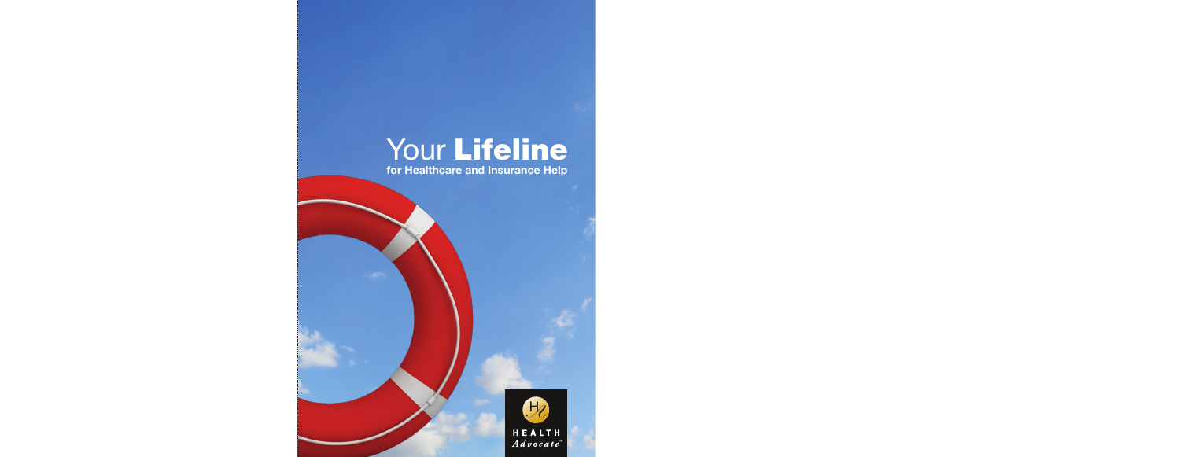# Your Lifeline for Healthcare and Insurance Help

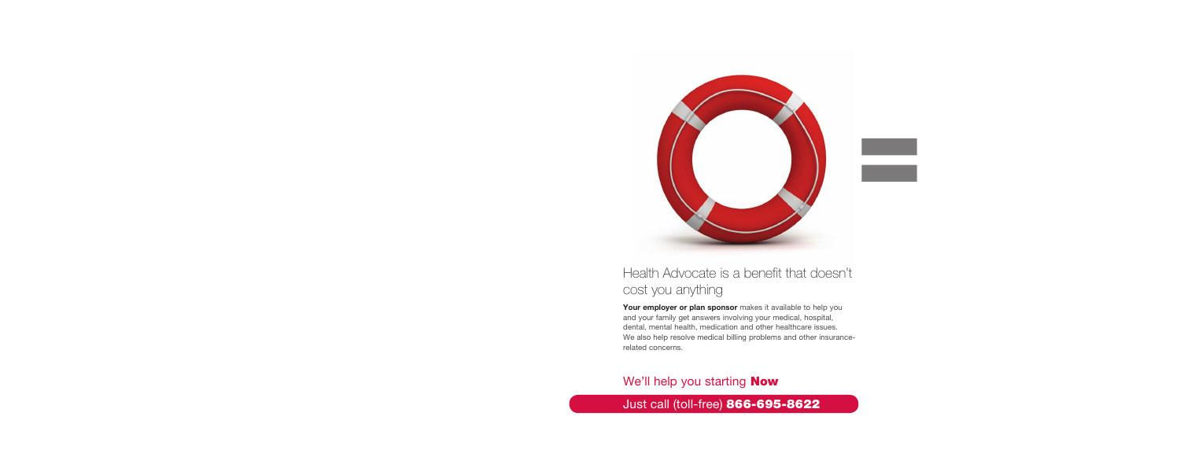

# Health Advocate is a benefit that doesn't cost you anything

Your employer or plan sponsor makes it available to help you and your family get answers involving your medical, hospital, dental, mental health, medication and other healthcare issues. We also help resolve medical billing problems and other insurancerelated concerns.

# We'll help you starting **Now**

# Just call (toll-free) 866-695-8622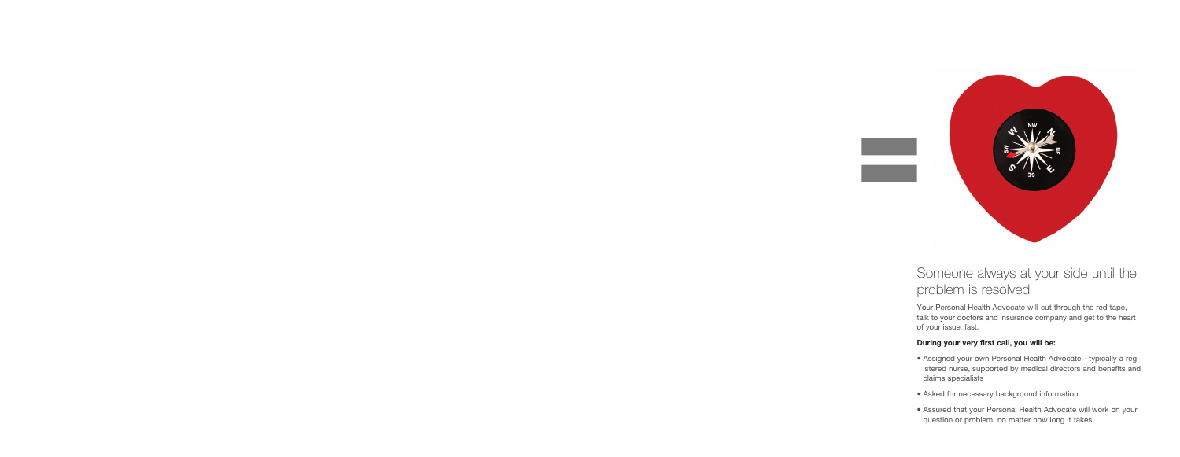

# Someone always at your side until the problem is resolved

Your Personal Health Advocate will cut through the red tape, talk to your doctors and insurance company and get to the heart of your issue, fast.

#### During your very first call, you will be:

- Assigned your own Personal Health Advocate—typically a registered nurse, supported by medical directors and benefits and claims specialists
- Asked for necessary background information
- Assured that your Personal Health Advocate will work on your question or problem, no matter how long it takes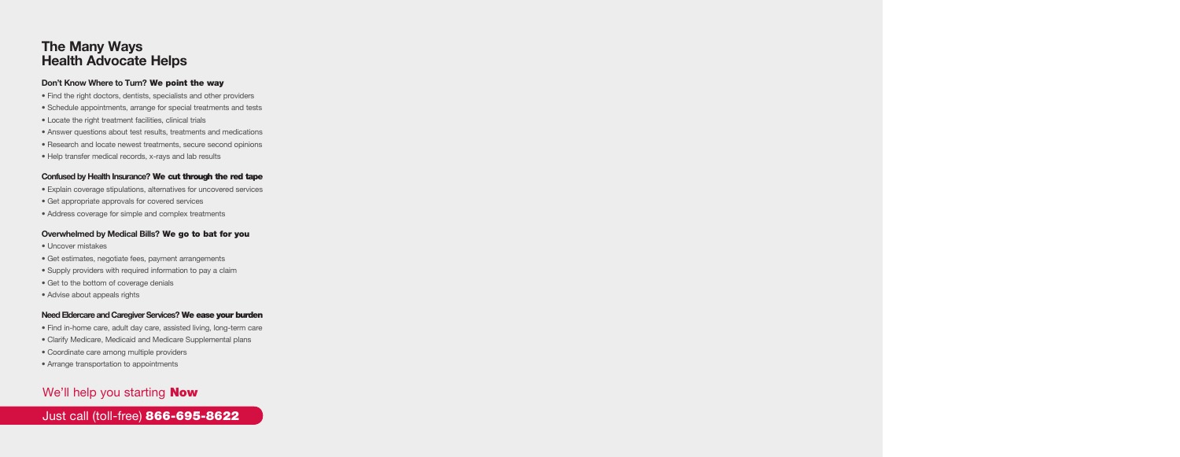# The Many Ways Health Advocate Helps

## Don't Know Where to Turn? We point the way

- Find the right doctors, dentists, specialists and other providers
- Schedule appointments, arrange for special treatments and tests
- Locate the right treatment facilities, clinical trials
- Answer questions about test results, treatments and medications
- Research and locate newest treatments, secure second opinions
- Help transfer medical records, x-rays and lab results

## Confused by Health Insurance? We cut through the red tape

- Explain coverage stipulations, alternatives for uncovered services
- Get appropriate approvals for covered services
- Address coverage for simple and complex treatments

### Overwhelmed by Medical Bills? We go to bat for you

- Uncover mistakes
- Get estimates, negotiate fees, payment arrangements
- Supply providers with required information to pay a claim
- Get to the bottom of coverage denials
- Advise about appeals rights

### Need Eldercare and Caregiver Services? We ease your burden

- Find in-home care, adult day care, assisted living, long-term care
- Clarify Medicare, Medicaid and Medicare Supplemental plans
- Coordinate care among multiple providers
- Arrange transportation to appointments

# We'll help you starting **Now**

# Just call (toll-free) 866-695-8622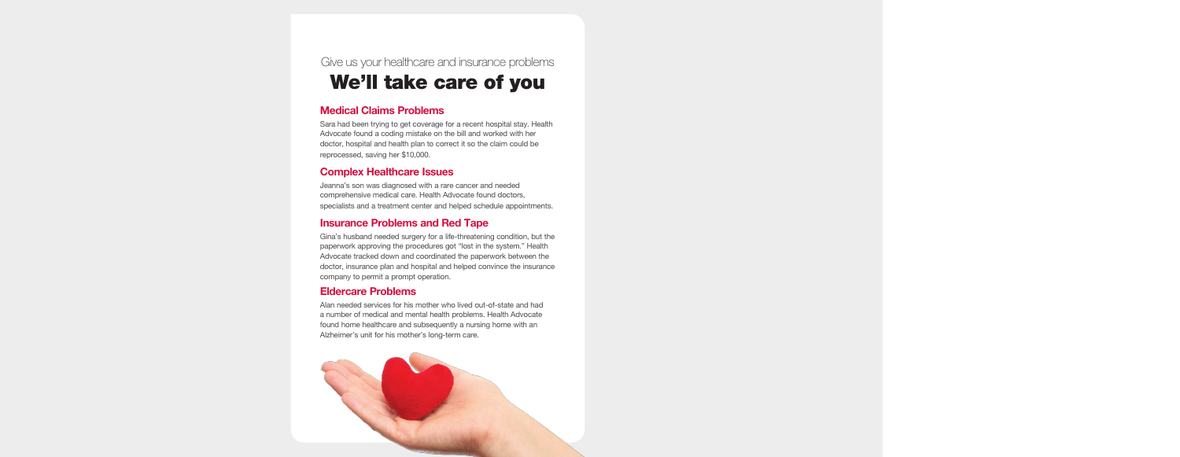# Give us your healthcare and insurance problems We'll take care of you

## Medical Claims Problems

Sara had been trying to get coverage for a recent hospital stay. Health Advocate found a coding mistake on the bill and worked with her doctor, hospital and health plan to correct it so the claim could be reprocessed, saving her \$10,000.

## Complex Healthcare Issues

Jeanna's son was diagnosed with a rare cancer and needed comprehensive medical care. Health Advocate found doctors, specialists and a treatment center and helped schedule appointments.

## Insurance Problems and Red Tape

Gina's husband needed surgery for a life-threatening condition, but the paperwork approving the procedures got "lost in the system." Health Advocate tracked down and coordinated the paperwork between the doctor, insurance plan and hospital and helped convince the insurance company to permit a prompt operation.

## Eldercare Problems

Alan needed services for his mother who lived out-of-state and had a number of medical and mental health problems. Health Advocate found home healthcare and subsequently a nursing home with an Alzheimer's unit for his mother's long-term care.

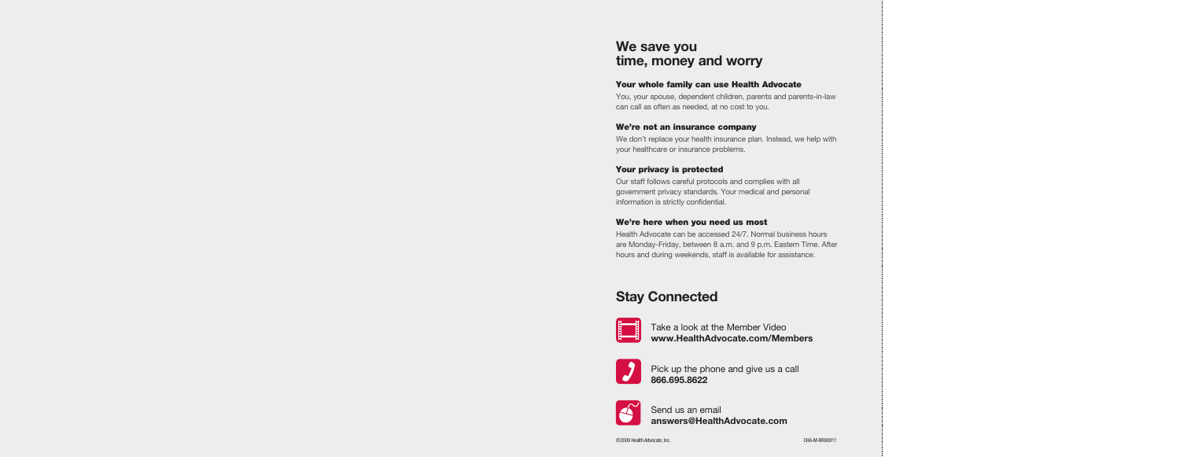# We save you time, money and worry

### Your whole family can use Health Advocate

You, your spouse, dependent children, parents and parents-in-law can call as often as needed, at no cost to you.

#### We're not an insurance company

We don't replace your health insurance plan. Instead, we help with your healthcare or insurance problems.

#### Your privacy is protected

Our staff follows careful protocols and complies with all government privacy standards. Your medical and personal information is strictly confidential.

#### We're here when you need us most

Health Advocate can be accessed 24/7. Normal business hours are Monday-Friday, between 8 a.m. and 9 p.m. Eastern Time. After hours and during weekends, staff is available for assistance.

# Stay Connected



Take a look at the Member Video www.HealthAdvocate.com/Members



Pick up the phone and give us a call 866.695.8622



Send us an email answers@HealthAdvocate.com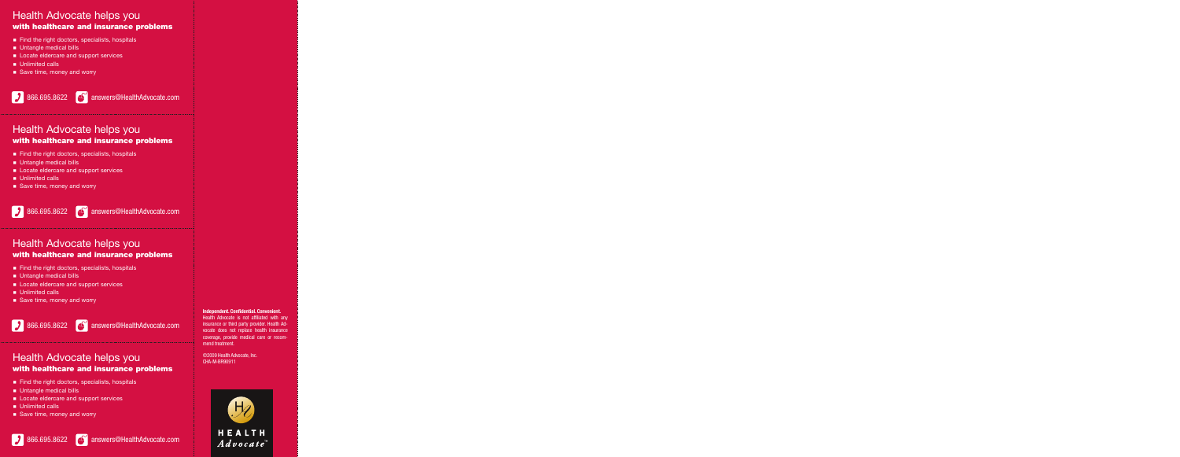## Health Advocate helps you with healthcare and insurance problems

- Find the right doctors, specialists, hospitals
- **n** Untangle medical bills
- **EXEC** Locate eldercare and support services
- **n** Unlimited calls
- Save time, money and worry

866.695.8622 answers@HealthAdvocate.com

## Health Advocate helps you with healthcare and insurance problems

- $\blacksquare$  Find the right doctors, specialists, hospitals
- **n** Untangle medical bills
- **n** Locate eldercare and support services
- **n** Unlimited calls
- Save time, money and worry

866.695.8622 answers@HealthAdvocate.com

## Health Advocate helps you with healthcare and insurance problems

- Find the right doctors, specialists, hospitals
- **n** Untangle medical bills
- **Exercise** Locate eldercare and support services
- **n** Unlimited calls
- Save time, money and worry

866.695.8622 answers@HealthAdvocate.com

## Health Advocate helps you with healthcare and insurance problems

- Find the right doctors, specialists, hospitals
- **n** Untangle medical bills
- **EXEC** Locate eldercare and support services
- **n** Unlimited calls
- Save time, money and worry

#### Independent. Confidential. Convenient.

Health Advocate is not affiliated with any insurance or third party provider. Health Advocate does not replace health insurance coverage, provide medical care or recommend treatment.

©2009 Health Advocate, Inc. CHA-M-BR90911